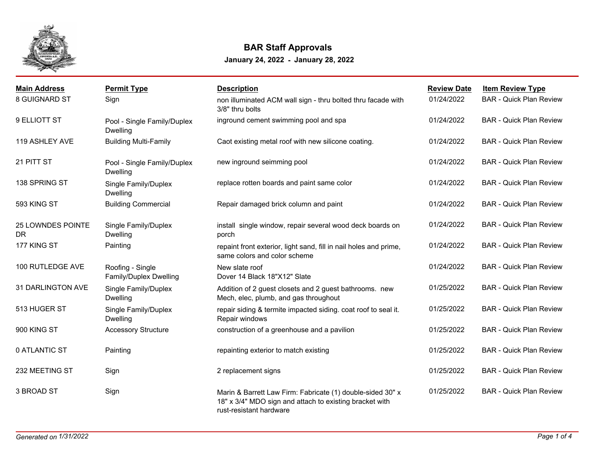

## **BAR Staff Approvals**

**January 24, 2022 - January 28, 2022**

| <b>Main Address</b>            | <b>Permit Type</b>                             | <b>Description</b>                                                                                                                               | <b>Review Date</b> | <b>Item Review Type</b>        |
|--------------------------------|------------------------------------------------|--------------------------------------------------------------------------------------------------------------------------------------------------|--------------------|--------------------------------|
| <b>8 GUIGNARD ST</b>           | Sign                                           | non illuminated ACM wall sign - thru bolted thru facade with<br>3/8" thru bolts                                                                  | 01/24/2022         | <b>BAR - Quick Plan Review</b> |
| 9 ELLIOTT ST                   | Pool - Single Family/Duplex<br><b>Dwelling</b> | inground cement swimming pool and spa                                                                                                            | 01/24/2022         | <b>BAR - Quick Plan Review</b> |
| 119 ASHLEY AVE                 | <b>Building Multi-Family</b>                   | Caot existing metal roof with new silicone coating.                                                                                              | 01/24/2022         | <b>BAR - Quick Plan Review</b> |
| 21 PITT ST                     | Pool - Single Family/Duplex<br><b>Dwelling</b> | new inground seimming pool                                                                                                                       | 01/24/2022         | <b>BAR - Quick Plan Review</b> |
| 138 SPRING ST                  | Single Family/Duplex<br><b>Dwelling</b>        | replace rotten boards and paint same color                                                                                                       | 01/24/2022         | <b>BAR - Quick Plan Review</b> |
| 593 KING ST                    | <b>Building Commercial</b>                     | Repair damaged brick column and paint                                                                                                            | 01/24/2022         | <b>BAR - Quick Plan Review</b> |
| 25 LOWNDES POINTE<br><b>DR</b> | Single Family/Duplex<br><b>Dwelling</b>        | install single window, repair several wood deck boards on<br>porch                                                                               | 01/24/2022         | <b>BAR - Quick Plan Review</b> |
| 177 KING ST                    | Painting                                       | repaint front exterior, light sand, fill in nail holes and prime,<br>same colors and color scheme                                                | 01/24/2022         | <b>BAR - Quick Plan Review</b> |
| 100 RUTLEDGE AVE               | Roofing - Single<br>Family/Duplex Dwelling     | New slate roof<br>Dover 14 Black 18"X12" Slate                                                                                                   | 01/24/2022         | <b>BAR - Quick Plan Review</b> |
| 31 DARLINGTON AVE              | Single Family/Duplex<br><b>Dwelling</b>        | Addition of 2 guest closets and 2 guest bathrooms. new<br>Mech, elec, plumb, and gas throughout                                                  | 01/25/2022         | <b>BAR - Quick Plan Review</b> |
| 513 HUGER ST                   | Single Family/Duplex<br><b>Dwelling</b>        | repair siding & termite impacted siding. coat roof to seal it.<br>Repair windows                                                                 | 01/25/2022         | <b>BAR - Quick Plan Review</b> |
| 900 KING ST                    | <b>Accessory Structure</b>                     | construction of a greenhouse and a pavilion                                                                                                      | 01/25/2022         | <b>BAR - Quick Plan Review</b> |
| 0 ATLANTIC ST                  | Painting                                       | repainting exterior to match existing                                                                                                            | 01/25/2022         | <b>BAR - Quick Plan Review</b> |
| 232 MEETING ST                 | Sign                                           | 2 replacement signs                                                                                                                              | 01/25/2022         | <b>BAR - Quick Plan Review</b> |
| 3 BROAD ST                     | Sign                                           | Marin & Barrett Law Firm: Fabricate (1) double-sided 30" x<br>18" x 3/4" MDO sign and attach to existing bracket with<br>rust-resistant hardware | 01/25/2022         | <b>BAR - Quick Plan Review</b> |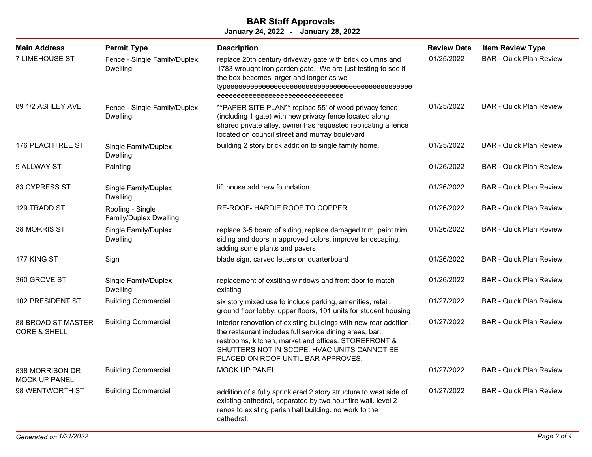## **January 24, 2022 - January 28, 2022 BAR Staff Approvals**

| <b>Main Address</b>                                  | <b>Permit Type</b>                              | <b>Description</b>                                                                                                                                                                                                                                                        | <b>Review Date</b> | <b>Item Review Type</b>        |
|------------------------------------------------------|-------------------------------------------------|---------------------------------------------------------------------------------------------------------------------------------------------------------------------------------------------------------------------------------------------------------------------------|--------------------|--------------------------------|
| <b>7 LIMEHOUSE ST</b>                                | Fence - Single Family/Duplex<br><b>Dwelling</b> | replace 20th century driveway gate with brick columns and<br>1783 wrought iron garden gate. We are just testing to see if<br>the box becomes larger and longer as we<br>eeeeeeeeeeeeeeeeeeeeeeeeeeeee                                                                     | 01/25/2022         | <b>BAR</b> - Quick Plan Review |
| 89 1/2 ASHLEY AVE                                    | Fence - Single Family/Duplex<br>Dwelling        | ** PAPER SITE PLAN** replace 55' of wood privacy fence<br>(including 1 gate) with new privacy fence located along<br>shared private alley. owner has requested replicating a fence<br>located on council street and murray boulevard                                      | 01/25/2022         | <b>BAR</b> - Quick Plan Review |
| 176 PEACHTREE ST                                     | Single Family/Duplex<br>Dwelling                | building 2 story brick addition to single family home.                                                                                                                                                                                                                    | 01/25/2022         | <b>BAR</b> - Quick Plan Review |
| 9 ALLWAY ST                                          | Painting                                        |                                                                                                                                                                                                                                                                           | 01/26/2022         | <b>BAR - Quick Plan Review</b> |
| 83 CYPRESS ST                                        | Single Family/Duplex<br>Dwelling                | lift house add new foundation                                                                                                                                                                                                                                             | 01/26/2022         | <b>BAR - Quick Plan Review</b> |
| 129 TRADD ST                                         | Roofing - Single<br>Family/Duplex Dwelling      | RE-ROOF- HARDIE ROOF TO COPPER                                                                                                                                                                                                                                            | 01/26/2022         | <b>BAR</b> - Quick Plan Review |
| 38 MORRIS ST                                         | Single Family/Duplex<br>Dwelling                | replace 3-5 board of siding, replace damaged trim, paint trim,<br>siding and doors in approved colors. improve landscaping,<br>adding some plants and pavers                                                                                                              | 01/26/2022         | <b>BAR</b> - Quick Plan Review |
| 177 KING ST                                          | Sign                                            | blade sign, carved letters on quarterboard                                                                                                                                                                                                                                | 01/26/2022         | <b>BAR - Quick Plan Review</b> |
| 360 GROVE ST                                         | Single Family/Duplex<br>Dwelling                | replacement of exsiting windows and front door to match<br>existing                                                                                                                                                                                                       | 01/26/2022         | <b>BAR</b> - Quick Plan Review |
| 102 PRESIDENT ST                                     | <b>Building Commercial</b>                      | six story mixed use to include parking, amenities, retail,<br>ground floor lobby, upper floors, 101 units for student housing                                                                                                                                             | 01/27/2022         | <b>BAR - Quick Plan Review</b> |
| <b>88 BROAD ST MASTER</b><br><b>CORE &amp; SHELL</b> | <b>Building Commercial</b>                      | interior renovation of existing buildings with new rear addition.<br>the restaurant includes full service dining areas, bar,<br>restrooms, kitchen, market and offices. STOREFRONT &<br>SHUTTERS NOT IN SCOPE. HVAC UNITS CANNOT BE<br>PLACED ON ROOF UNTIL BAR APPROVES. | 01/27/2022         | <b>BAR - Quick Plan Review</b> |
| 838 MORRISON DR<br><b>MOCK UP PANEL</b>              | <b>Building Commercial</b>                      | <b>MOCK UP PANEL</b>                                                                                                                                                                                                                                                      | 01/27/2022         | <b>BAR - Quick Plan Review</b> |
| 98 WENTWORTH ST                                      | <b>Building Commercial</b>                      | addition of a fully sprinklered 2 story structure to west side of<br>existing cathedral, separated by two hour fire wall. level 2<br>renos to existing parish hall building. no work to the<br>cathedral.                                                                 | 01/27/2022         | <b>BAR - Quick Plan Review</b> |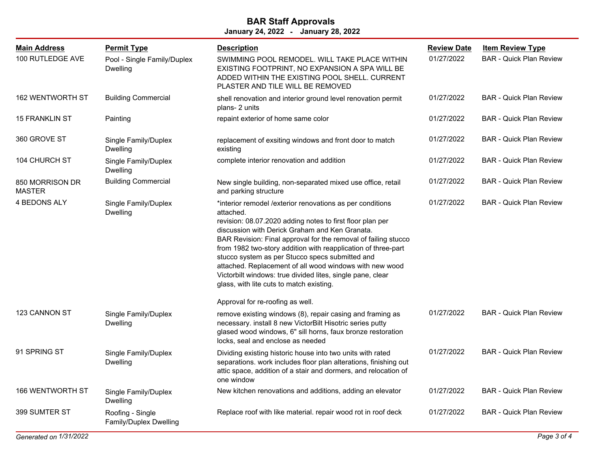## **January 24, 2022 - January 28, 2022 BAR Staff Approvals**

| <b>Main Address</b>              | <b>Permit Type</b>                         | <b>Description</b>                                                                                                                                                                                                                                                                                                                                                                                                                                                                                                                                | <b>Review Date</b> | <b>Item Review Type</b>        |
|----------------------------------|--------------------------------------------|---------------------------------------------------------------------------------------------------------------------------------------------------------------------------------------------------------------------------------------------------------------------------------------------------------------------------------------------------------------------------------------------------------------------------------------------------------------------------------------------------------------------------------------------------|--------------------|--------------------------------|
| 100 RUTLEDGE AVE                 | Pool - Single Family/Duplex<br>Dwelling    | SWIMMING POOL REMODEL. WILL TAKE PLACE WITHIN<br>EXISTING FOOTPRINT, NO EXPANSION A SPA WILL BE<br>ADDED WITHIN THE EXISTING POOL SHELL. CURRENT<br>PLASTER AND TILE WILL BE REMOVED                                                                                                                                                                                                                                                                                                                                                              | 01/27/2022         | <b>BAR - Quick Plan Review</b> |
| 162 WENTWORTH ST                 | <b>Building Commercial</b>                 | shell renovation and interior ground level renovation permit<br>plans- 2 units                                                                                                                                                                                                                                                                                                                                                                                                                                                                    | 01/27/2022         | <b>BAR - Quick Plan Review</b> |
| 15 FRANKLIN ST                   | Painting                                   | repaint exterior of home same color                                                                                                                                                                                                                                                                                                                                                                                                                                                                                                               | 01/27/2022         | <b>BAR - Quick Plan Review</b> |
| 360 GROVE ST                     | Single Family/Duplex<br>Dwelling           | replacement of exsiting windows and front door to match<br>existing                                                                                                                                                                                                                                                                                                                                                                                                                                                                               | 01/27/2022         | <b>BAR - Quick Plan Review</b> |
| 104 CHURCH ST                    | Single Family/Duplex<br>Dwelling           | complete interior renovation and addition                                                                                                                                                                                                                                                                                                                                                                                                                                                                                                         | 01/27/2022         | <b>BAR - Quick Plan Review</b> |
| 850 MORRISON DR<br><b>MASTER</b> | <b>Building Commercial</b>                 | New single building, non-separated mixed use office, retail<br>and parking structure                                                                                                                                                                                                                                                                                                                                                                                                                                                              | 01/27/2022         | <b>BAR - Quick Plan Review</b> |
| 4 BEDONS ALY                     | Single Family/Duplex<br><b>Dwelling</b>    | *interior remodel / exterior renovations as per conditions<br>attached.<br>revision: 08.07.2020 adding notes to first floor plan per<br>discussion with Derick Graham and Ken Granata.<br>BAR Revision: Final approval for the removal of failing stucco<br>from 1982 two-story addition with reapplication of three-part<br>stucco system as per Stucco specs submitted and<br>attached. Replacement of all wood windows with new wood<br>Victorbilt windows: true divided lites, single pane, clear<br>glass, with lite cuts to match existing. | 01/27/2022         | <b>BAR - Quick Plan Review</b> |
|                                  |                                            | Approval for re-roofing as well.                                                                                                                                                                                                                                                                                                                                                                                                                                                                                                                  |                    |                                |
| 123 CANNON ST                    | Single Family/Duplex<br>Dwelling           | remove existing windows (8), repair casing and framing as<br>necessary. install 8 new VictorBilt Hisotric series putty<br>glased wood windows, 6" sill horns, faux bronze restoration<br>locks, seal and enclose as needed                                                                                                                                                                                                                                                                                                                        | 01/27/2022         | <b>BAR - Quick Plan Review</b> |
| 91 SPRING ST                     | Single Family/Duplex<br>Dwelling           | Dividing existing historic house into two units with rated<br>separations. work includes floor plan alterations, finishing out<br>attic space, addition of a stair and dormers, and relocation of<br>one window                                                                                                                                                                                                                                                                                                                                   | 01/27/2022         | <b>BAR - Quick Plan Review</b> |
| 166 WENTWORTH ST                 | Single Family/Duplex<br><b>Dwelling</b>    | New kitchen renovations and additions, adding an elevator                                                                                                                                                                                                                                                                                                                                                                                                                                                                                         | 01/27/2022         | <b>BAR - Quick Plan Review</b> |
| 399 SUMTER ST                    | Roofing - Single<br>Family/Duplex Dwelling | Replace roof with like material. repair wood rot in roof deck                                                                                                                                                                                                                                                                                                                                                                                                                                                                                     | 01/27/2022         | <b>BAR - Quick Plan Review</b> |